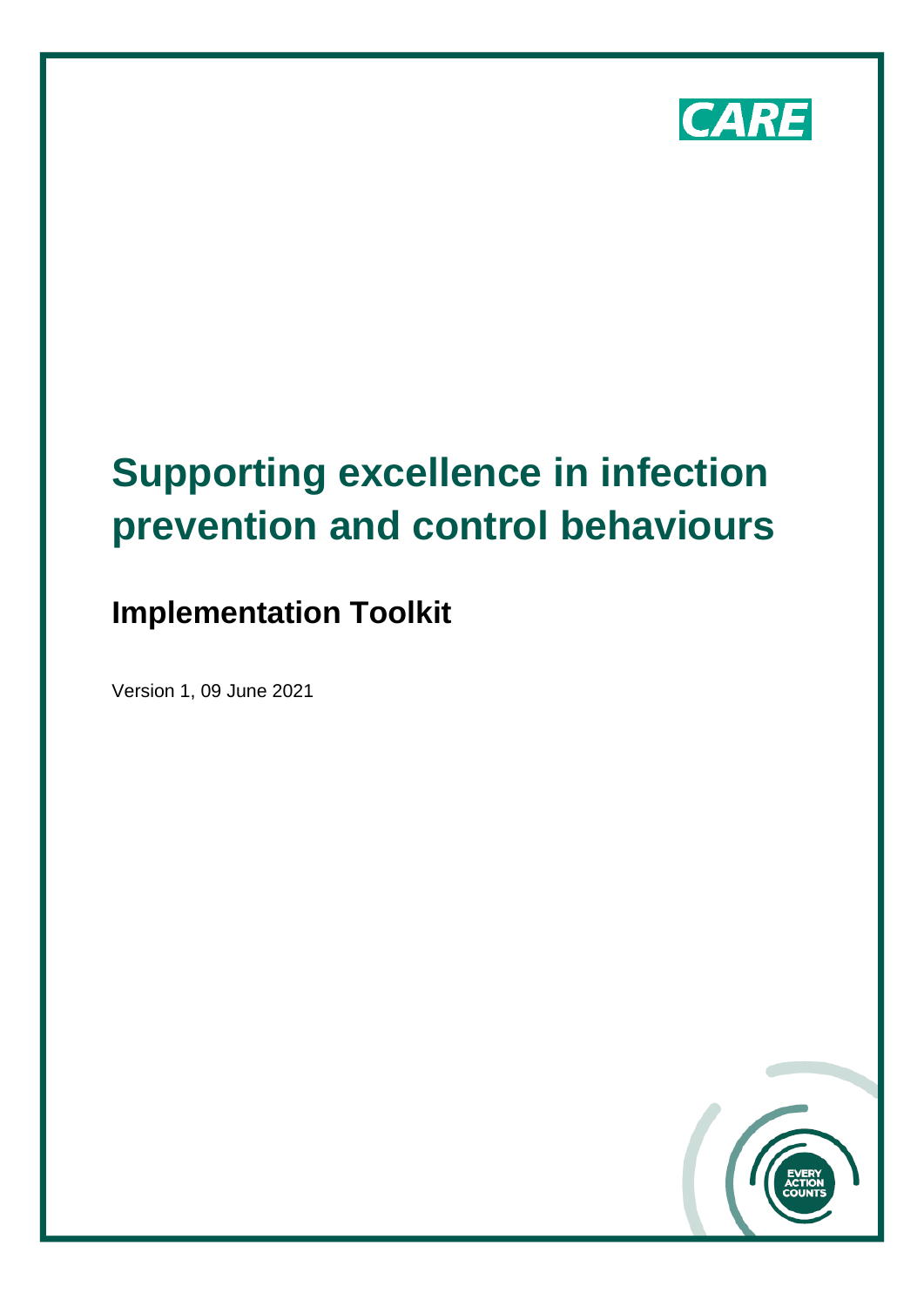

# **Supporting excellence in infection prevention and control behaviours**

# **Implementation Toolkit**

Version 1, 09 June 2021

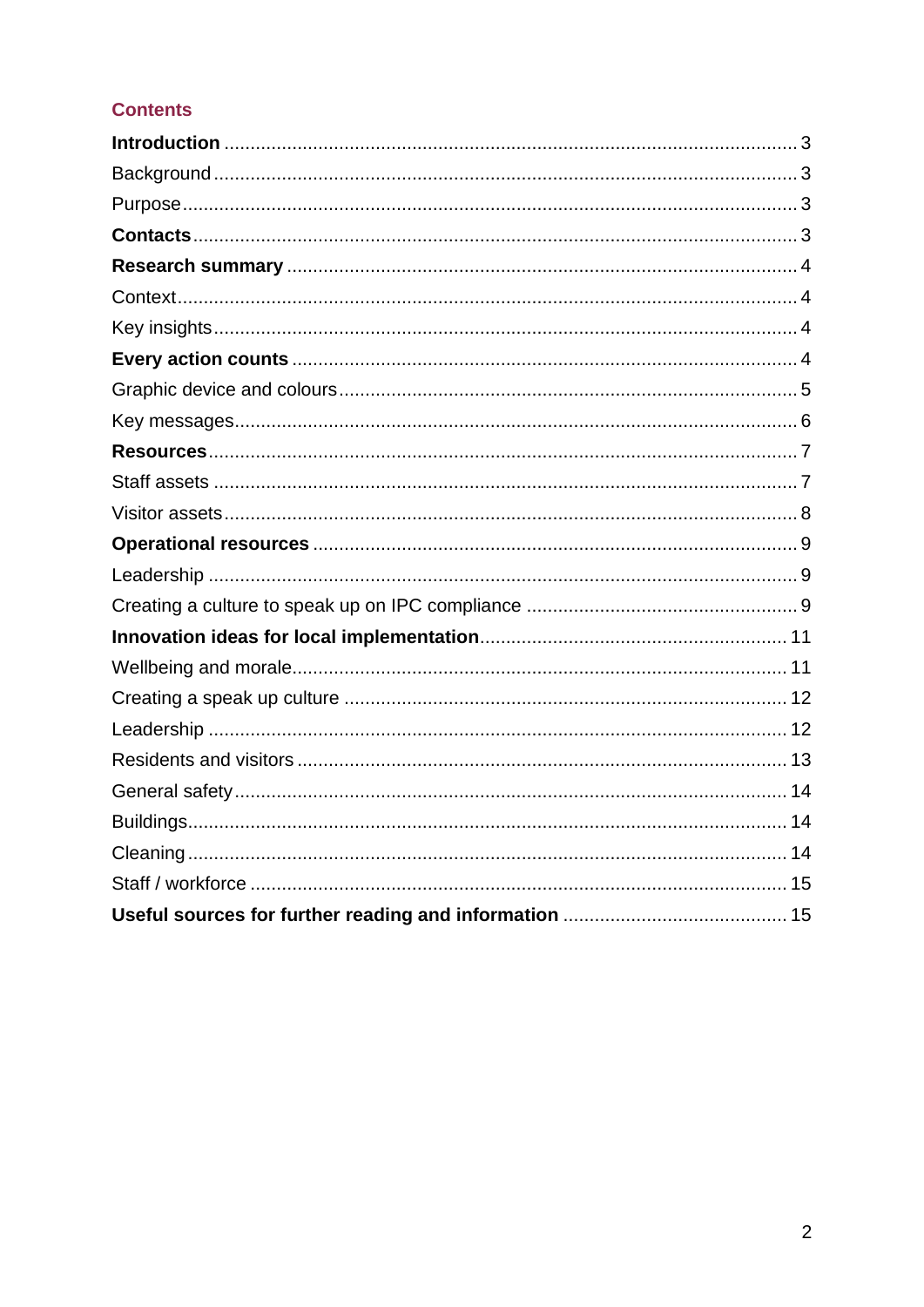# **Contents**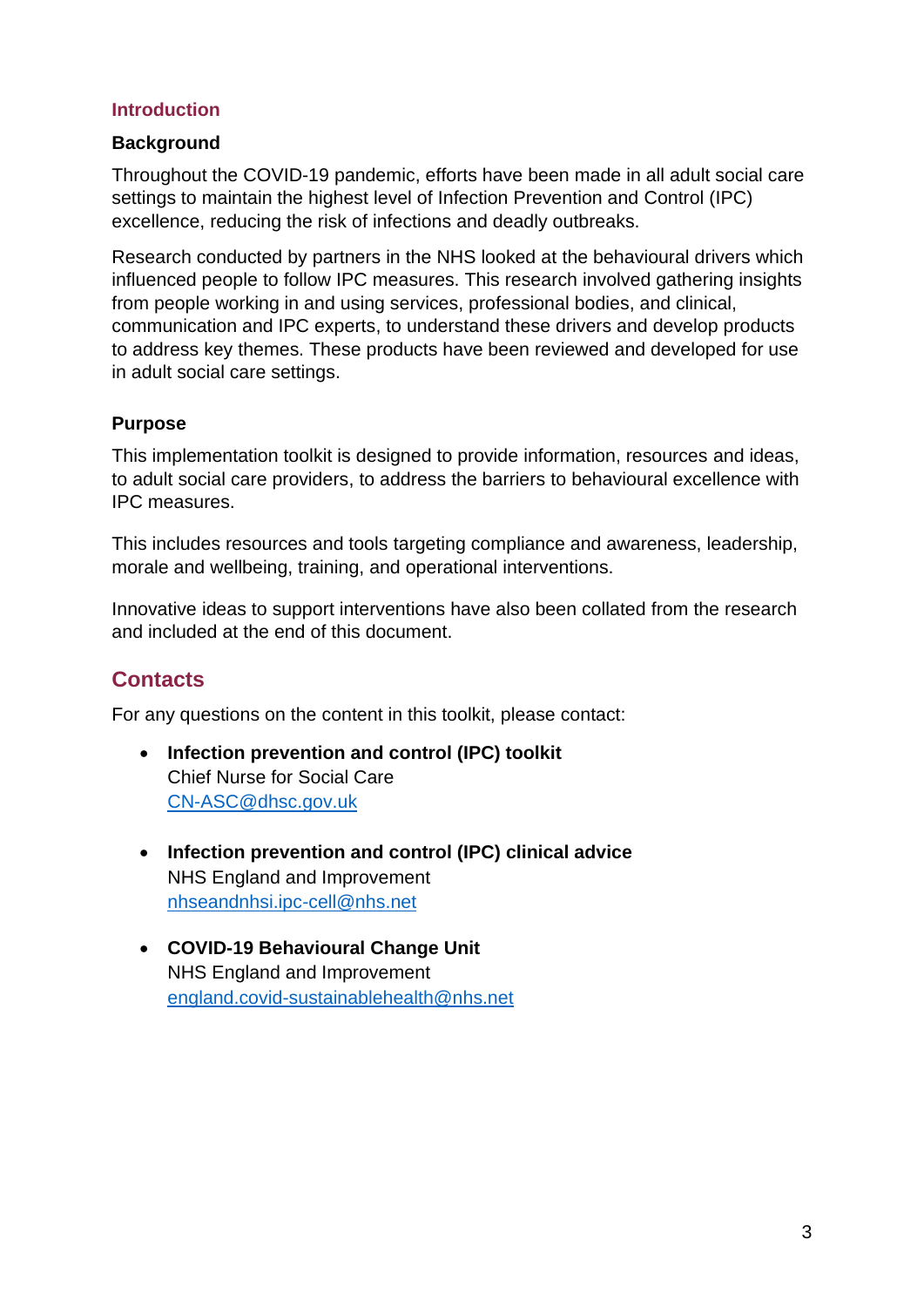#### <span id="page-2-0"></span>**Introduction**

#### <span id="page-2-1"></span>**Background**

Throughout the COVID-19 pandemic, efforts have been made in all adult social care settings to maintain the highest level of Infection Prevention and Control (IPC) excellence, reducing the risk of infections and deadly outbreaks.

Research conducted by partners in the NHS looked at the behavioural drivers which influenced people to follow IPC measures. This research involved gathering insights from people working in and using services, professional bodies, and clinical, communication and IPC experts, to understand these drivers and develop products to address key themes. These products have been reviewed and developed for use in adult social care settings.

### <span id="page-2-2"></span>**Purpose**

This implementation toolkit is designed to provide information, resources and ideas, to adult social care providers, to address the barriers to behavioural excellence with IPC measures.

This includes resources and tools targeting compliance and awareness, leadership, morale and wellbeing, training, and operational interventions.

Innovative ideas to support interventions have also been collated from the research and included at the end of this document.

# <span id="page-2-3"></span>**Contacts**

For any questions on the content in this toolkit, please contact:

- **Infection prevention and control (IPC) toolkit** Chief Nurse for Social Care [CN-ASC@dhsc.gov.uk](mailto:CN-ASC@dhsc.gov.uk)
- **Infection prevention and control (IPC) clinical advice** NHS England and Improvement [nhseandnhsi.ipc-cell@nhs.net](mailto:nhseandnhsi.ipc-cell@nhs.net)
- **COVID-19 Behavioural Change Unit**  NHS England and Improvement [england.covid-sustainablehealth@nhs.net](mailto:england.covid-sustainablehealth@nhs.net)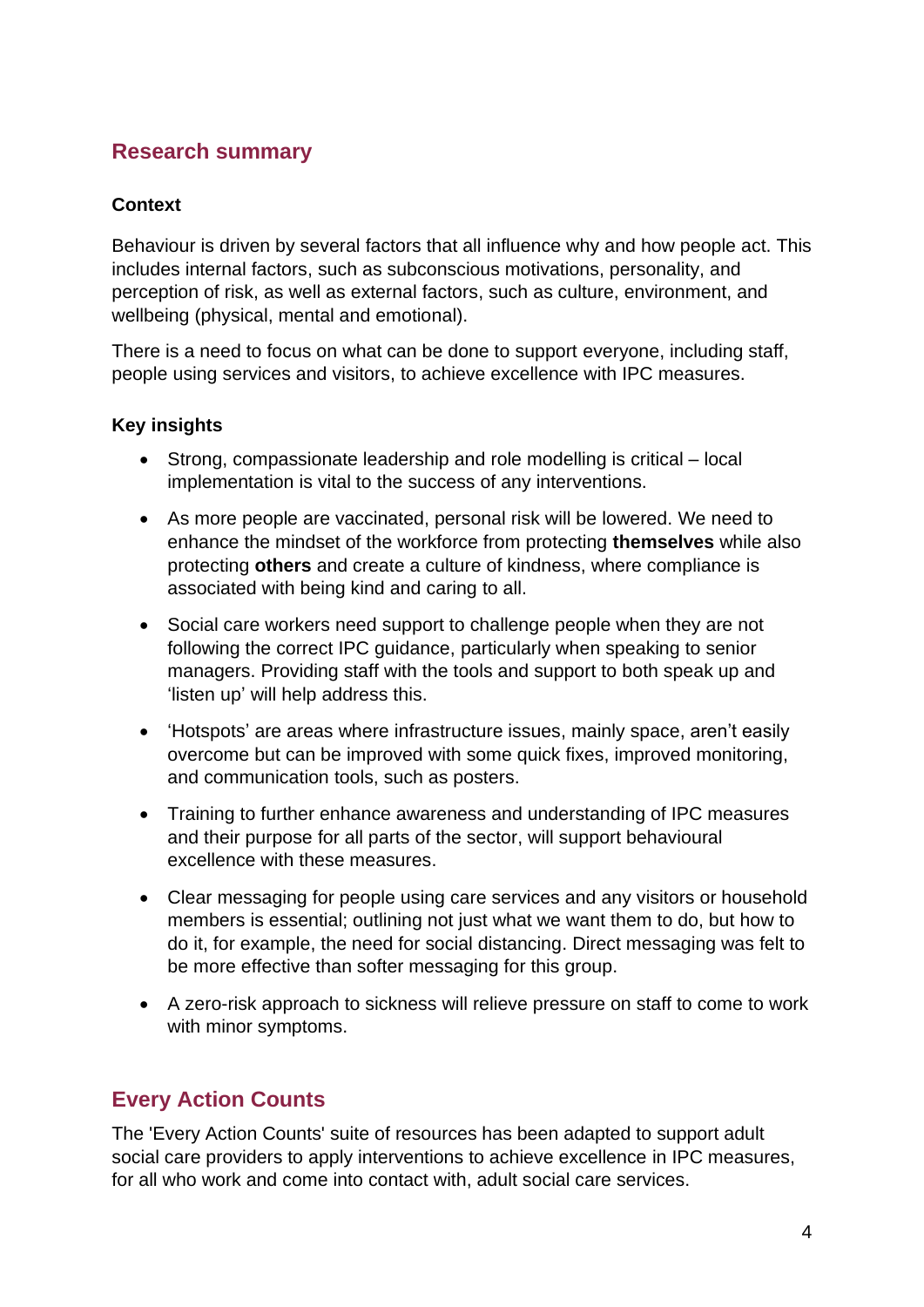# <span id="page-3-0"></span>**Research summary**

### <span id="page-3-1"></span>**Context**

Behaviour is driven by several factors that all influence why and how people act. This includes internal factors, such as subconscious motivations, personality, and perception of risk, as well as external factors, such as culture, environment, and wellbeing (physical, mental and emotional).

There is a need to focus on what can be done to support everyone, including staff, people using services and visitors, to achieve excellence with IPC measures.

#### <span id="page-3-2"></span>**Key insights**

- Strong, compassionate leadership and role modelling is critical local implementation is vital to the success of any interventions.
- As more people are vaccinated, personal risk will be lowered. We need to enhance the mindset of the workforce from protecting **themselves** while also protecting **others** and create a culture of kindness, where compliance is associated with being kind and caring to all.
- Social care workers need support to challenge people when they are not following the correct IPC guidance, particularly when speaking to senior managers. Providing staff with the tools and support to both speak up and 'listen up' will help address this.
- 'Hotspots' are areas where infrastructure issues, mainly space, aren't easily overcome but can be improved with some quick fixes, improved monitoring, and communication tools, such as posters.
- Training to further enhance awareness and understanding of IPC measures and their purpose for all parts of the sector, will support behavioural excellence with these measures.
- Clear messaging for people using care services and any visitors or household members is essential; outlining not just what we want them to do, but how to do it, for example, the need for social distancing. Direct messaging was felt to be more effective than softer messaging for this group.
- A zero-risk approach to sickness will relieve pressure on staff to come to work with minor symptoms.

# <span id="page-3-3"></span>**Every Action Counts**

The 'Every Action Counts' suite of resources has been adapted to support adult social care providers to apply interventions to achieve excellence in IPC measures, for all who work and come into contact with, adult social care services.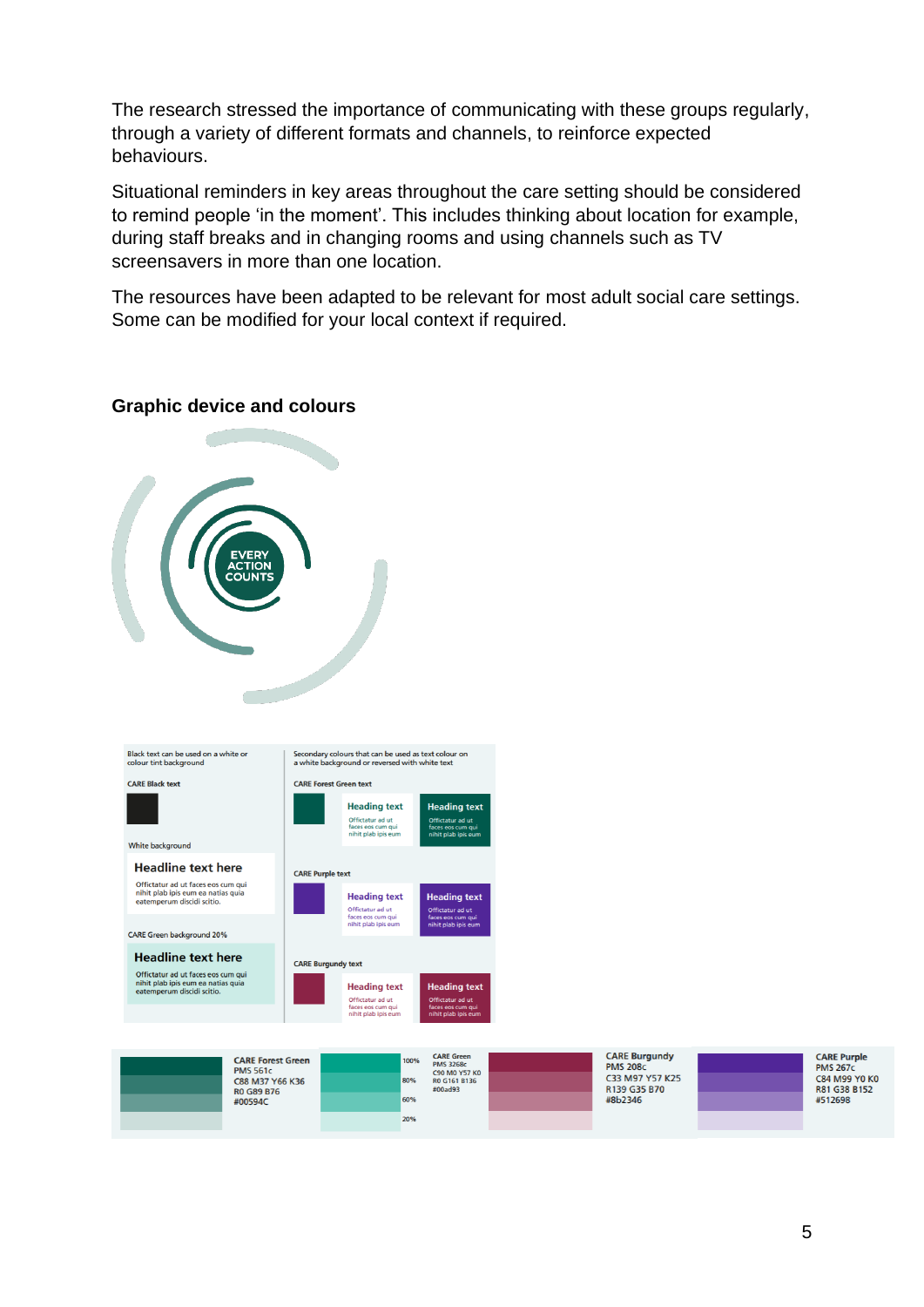The research stressed the importance of communicating with these groups regularly, through a variety of different formats and channels, to reinforce expected behaviours.

Situational reminders in key areas throughout the care setting should be considered to remind people 'in the moment'. This includes thinking about location for example, during staff breaks and in changing rooms and using channels such as TV screensavers in more than one location.

The resources have been adapted to be relevant for most adult social care settings. Some can be modified for your local context if required.

#### <span id="page-4-0"></span>**Graphic device and colours**



CARE Purnle **PMS 267c**  $R$   $\overline{AB}$   $\overline{B}$   $\overline{B}$   $\overline{C}$   $\overline{C}$   $\overline{C}$   $\overline{C}$   $\overline{C}$   $\overline{C}$   $\overline{C}$   $\overline{C}$   $\overline{C}$   $\overline{C}$   $\overline{C}$   $\overline{C}$   $\overline{C}$   $\overline{C}$   $\overline{C}$   $\overline{C}$   $\overline{C}$   $\overline{C}$   $\overline{C}$   $\overline{C}$   $\overline{C}$  R81 G38 B152 #512698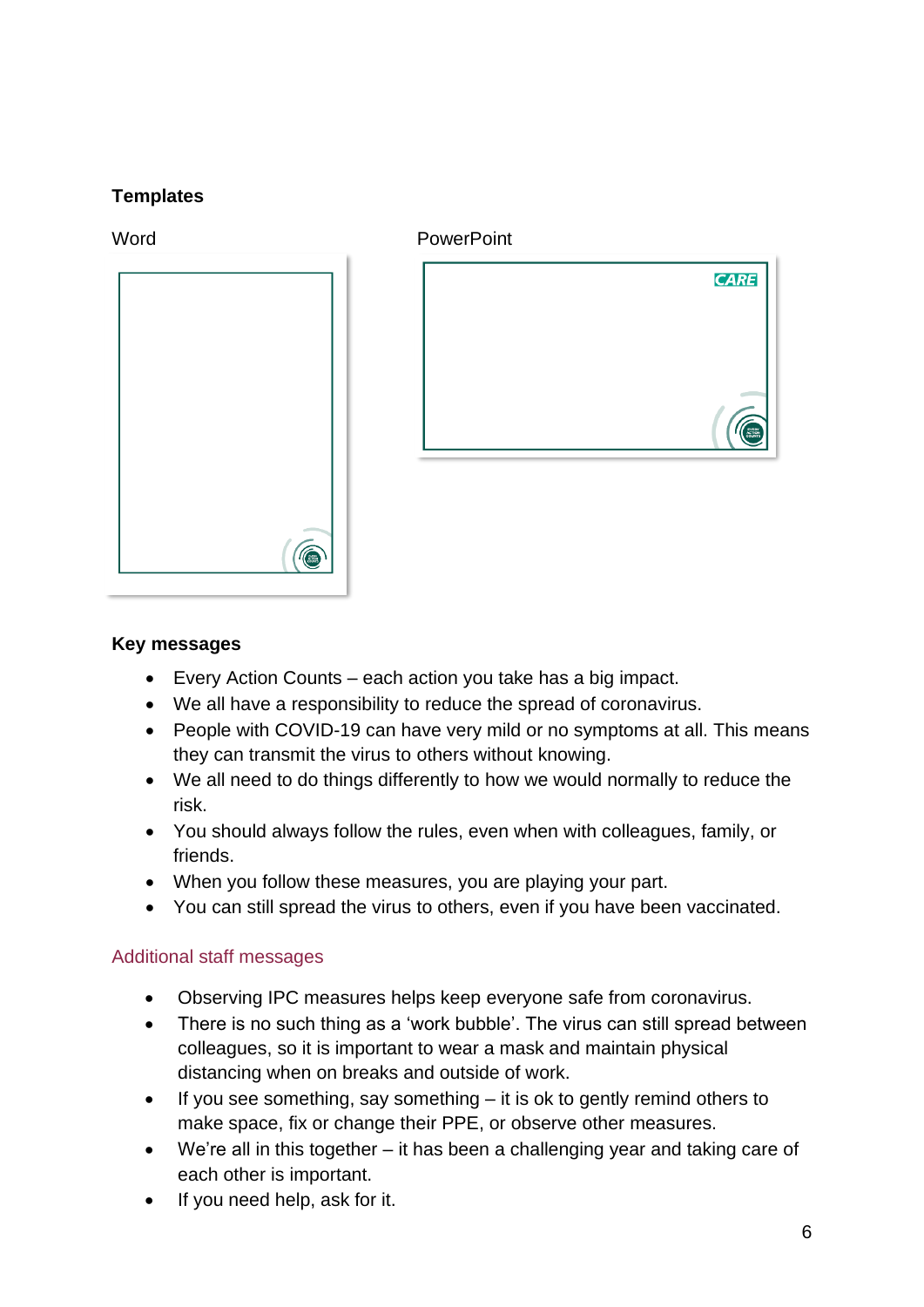# **Templates**



#### Word **PowerPoint**



#### <span id="page-5-0"></span>**Key messages**

- Every Action Counts each action you take has a big impact.
- We all have a responsibility to reduce the spread of coronavirus.
- People with COVID-19 can have very mild or no symptoms at all. This means they can transmit the virus to others without knowing.
- We all need to do things differently to how we would normally to reduce the risk.
- You should always follow the rules, even when with colleagues, family, or friends.
- When you follow these measures, you are playing your part.
- You can still spread the virus to others, even if you have been vaccinated.

#### Additional staff messages

- Observing IPC measures helps keep everyone safe from coronavirus.
- There is no such thing as a 'work bubble'. The virus can still spread between colleagues, so it is important to wear a mask and maintain physical distancing when on breaks and outside of work.
- If you see something, say something  $-$  it is ok to gently remind others to make space, fix or change their PPE, or observe other measures.
- We're all in this together it has been a challenging year and taking care of each other is important.
- If you need help, ask for it.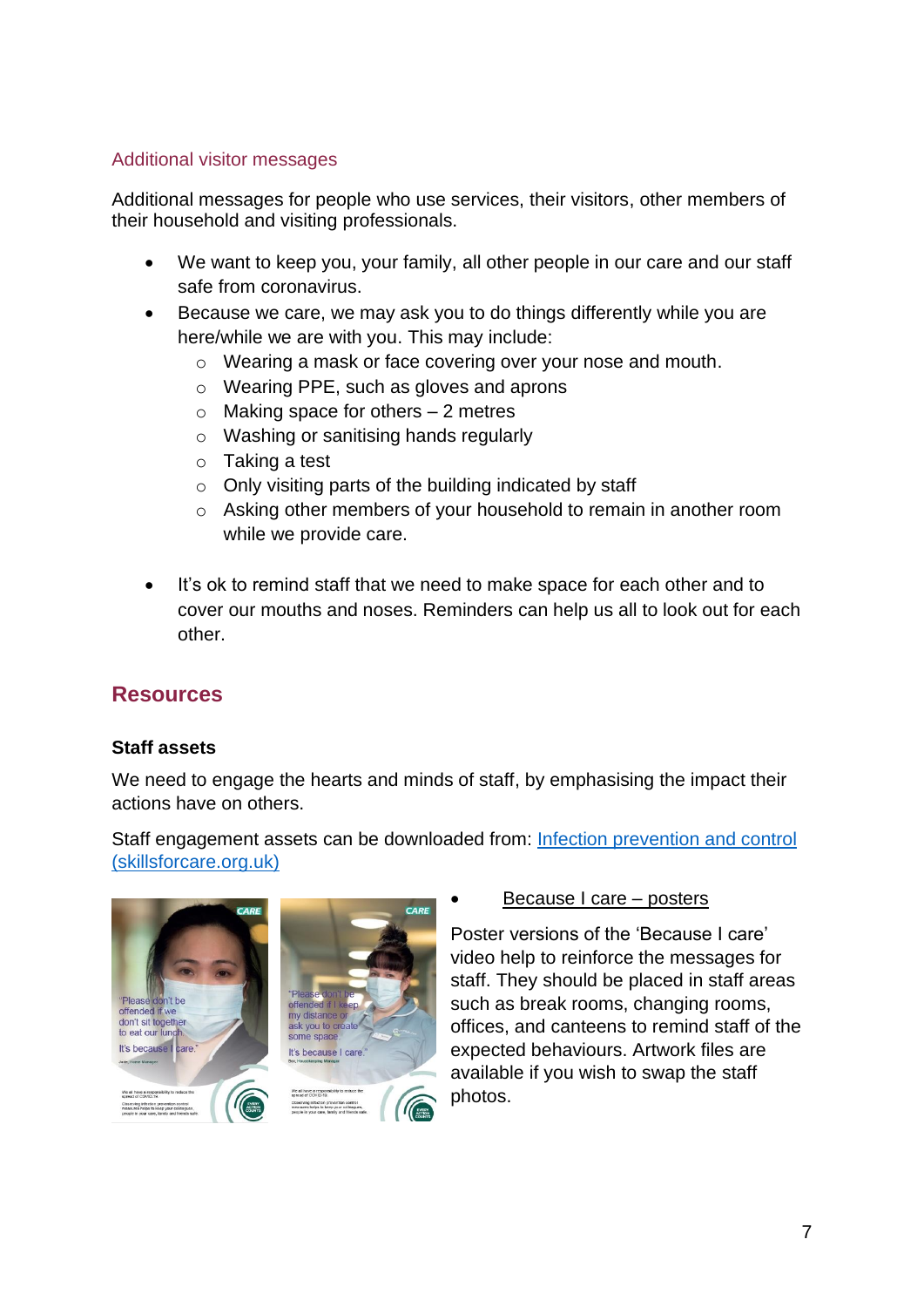#### Additional visitor messages

Additional messages for people who use services, their visitors, other members of their household and visiting professionals.

- We want to keep you, your family, all other people in our care and our staff safe from coronavirus.
- Because we care, we may ask you to do things differently while you are here/while we are with you. This may include:
	- o Wearing a mask or face covering over your nose and mouth.
	- o Wearing PPE, such as gloves and aprons
	- $\circ$  Making space for others  $-2$  metres
	- o Washing or sanitising hands regularly
	- o Taking a test
	- $\circ$  Only visiting parts of the building indicated by staff
	- o Asking other members of your household to remain in another room while we provide care.
- It's ok to remind staff that we need to make space for each other and to cover our mouths and noses. Reminders can help us all to look out for each other.

# <span id="page-6-0"></span>**Resources**

#### <span id="page-6-1"></span>**Staff assets**

We need to engage the hearts and minds of staff, by emphasising the impact their actions have on others.

Staff engagement assets can be downloaded from: [Infection prevention and control](https://www.skillsforcare.org.uk/Learning-development/ongoing-learning-and-development/infection-prevention-control/Infection-prevention-and-control.aspx)  [\(skillsforcare.org.uk\)](https://www.skillsforcare.org.uk/Learning-development/ongoing-learning-and-development/infection-prevention-control/Infection-prevention-and-control.aspx)



#### • Because I care – posters

Poster versions of the 'Because I care' video help to reinforce the messages for staff. They should be placed in staff areas such as break rooms, changing rooms, offices, and canteens to remind staff of the expected behaviours. Artwork files are available if you wish to swap the staff photos.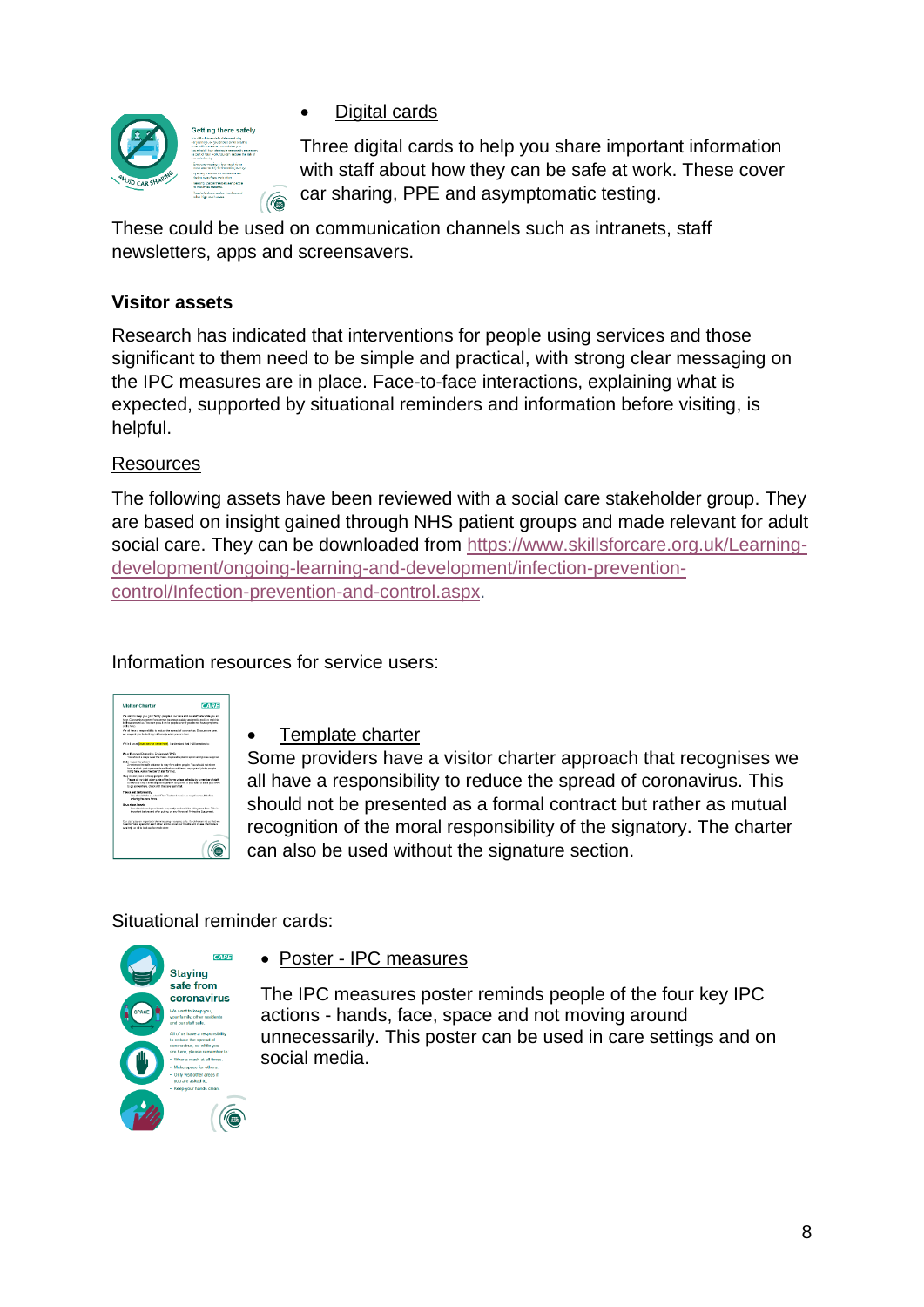

**Digital cards** 

Three digital cards to help you share important information with staff about how they can be safe at work. These cover car sharing, PPE and asymptomatic testing.

These could be used on communication channels such as intranets, staff newsletters, apps and screensavers.

# <span id="page-7-0"></span>**Visitor assets**

Research has indicated that interventions for people using services and those significant to them need to be simple and practical, with strong clear messaging on the IPC measures are in place. Face-to-face interactions, explaining what is expected, supported by situational reminders and information before visiting, is helpful.

#### **Resources**

The following assets have been reviewed with a social care stakeholder group. They are based on insight gained through NHS patient groups and made relevant for adult social care. They can be downloaded from [https://www.skillsforcare.org.uk/Learning](https://www.skillsforcare.org.uk/Learning-development/ongoing-learning-and-development/infection-prevention-control/Infection-prevention-and-control.aspx)[development/ongoing-learning-and-development/infection-prevention](https://www.skillsforcare.org.uk/Learning-development/ongoing-learning-and-development/infection-prevention-control/Infection-prevention-and-control.aspx)[control/Infection-prevention-and-control.aspx.](https://www.skillsforcare.org.uk/Learning-development/ongoing-learning-and-development/infection-prevention-control/Infection-prevention-and-control.aspx)

Information resources for service users:

| <b>Visitor Charter</b>                                                                                                                                                                                                                                                                 | <b>CARE</b> |
|----------------------------------------------------------------------------------------------------------------------------------------------------------------------------------------------------------------------------------------------------------------------------------------|-------------|
| the contributions you court for the secondary survivor and our staff as in white you are<br>here. Concerving passes from person to present quickly and easily and in a real sisk.<br>to those provincias. You can pass it on to people even if you do not have semptons.<br>ditto sue- |             |
| Vie all have a responsibility to reduce the scread of contractius. Decause we care.<br>are more out, you be dealthings differently while you can have.                                                                                                                                 |             |
| dit is I am at litted carvise tame hand. I understand that I will be askeding:                                                                                                                                                                                                         |             |
| <b>Wear Pressed Potentian Equipment (PPS)</b><br>Toughtuid a ways year the mesk, disposable plastic sprom and glows supplied.                                                                                                                                                          |             |
| Make cones for others:<br>2 notices in the rath distance to stay from other people. You should not share<br>tool or drink, pick spin-ow there that are not there, or photosily help people.<br>hors hare, Ask a member of staff for help.                                              |             |
| Not in one place to heap poople sale.<br>These district dail other carts of the home unless saked to buys member of staff.<br>Forked to struct a welling one about structure. Fun cannot or thick uncover-<br>to go screenings, check with the care beam first.                        |             |
| Take a test before anity<br>Your thousands and educational Traditional species or provided consultations.<br>entering the care home.                                                                                                                                                   |             |
| <b>Blaze class honds</b><br>You should work your honds becamily and evoid boutting your line. This is<br>Inserted before and after putting on any Personal Protective Equipment.                                                                                                       |             |
| Our staff play an important role in hosping company safe. If yiels to ram no so that we<br>read to realis so and for each other and to cover our results and room. Therineism                                                                                                          |             |

# • Template charter

Some providers have a visitor charter approach that recognises we all have a responsibility to reduce the spread of coronavirus. This should not be presented as a formal contract but rather as mutual recognition of the moral responsibility of the signatory. The charter can also be used without the signature section.

# Situational reminder cards:



• Poster - IPC measures

The IPC measures poster reminds people of the four key IPC actions - hands, face, space and not moving around unnecessarily. This poster can be used in care settings and on social media.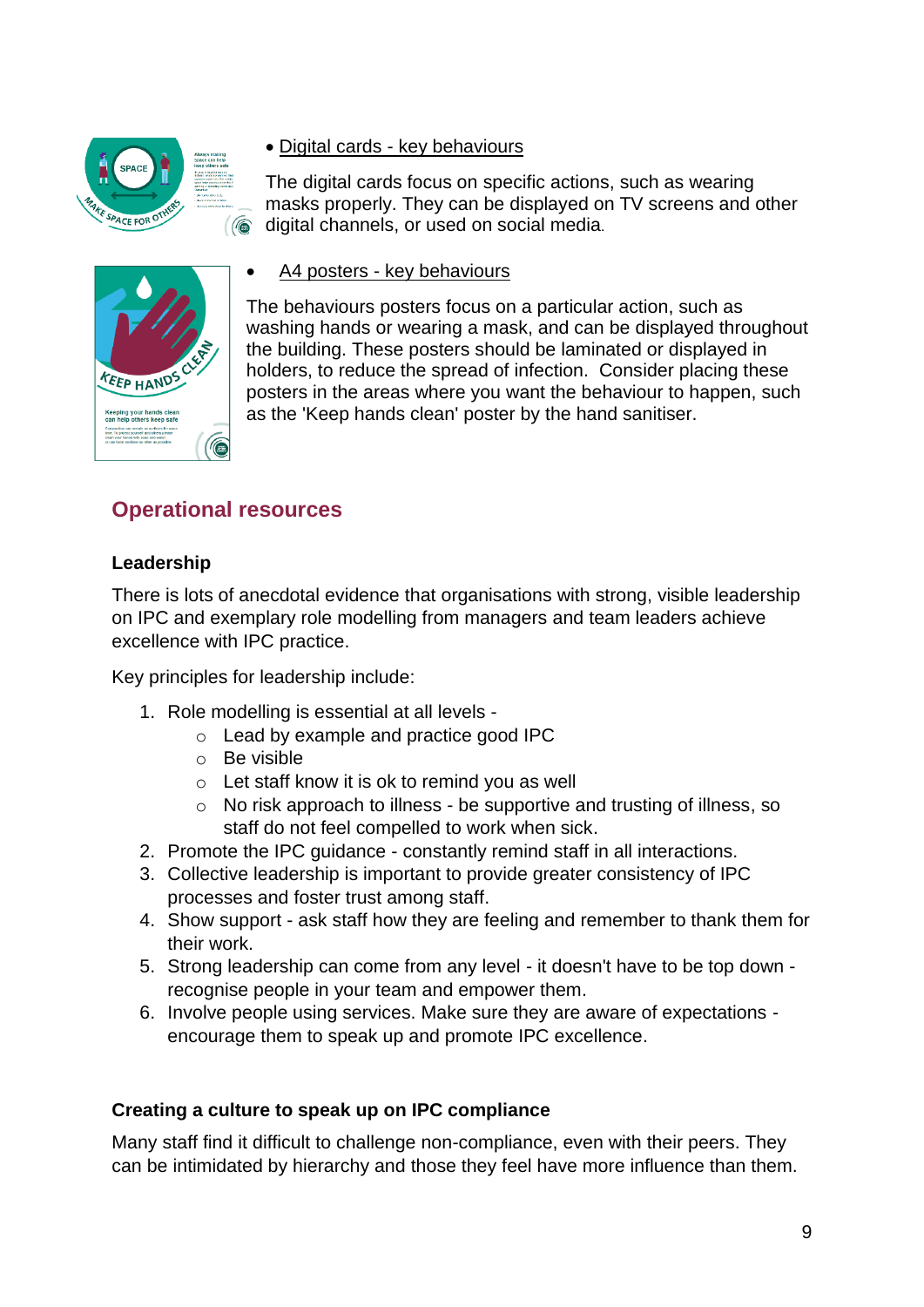

• Digital cards - key behaviours

The digital cards focus on specific actions, such as wearing masks properly. They can be displayed on TV screens and other digital channels, or used on social media.



• A4 posters - key behaviours

The behaviours posters focus on a particular action, such as washing hands or wearing a mask, and can be displayed throughout the building. These posters should be laminated or displayed in holders, to reduce the spread of infection. Consider placing these posters in the areas where you want the behaviour to happen, such as the 'Keep hands clean' poster by the hand sanitiser.

# <span id="page-8-0"></span>**Operational resources**

# <span id="page-8-1"></span>**Leadership**

There is lots of anecdotal evidence that organisations with strong, visible leadership on IPC and exemplary role modelling from managers and team leaders achieve excellence with IPC practice.

Key principles for leadership include:

- 1. Role modelling is essential at all levels
	- o Lead by example and practice good IPC
	- $\circ$  Be visible
	- o Let staff know it is ok to remind you as well
	- o No risk approach to illness be supportive and trusting of illness, so staff do not feel compelled to work when sick.
- 2. Promote the IPC guidance constantly remind staff in all interactions.
- 3. Collective leadership is important to provide greater consistency of IPC processes and foster trust among staff.
- 4. Show support ask staff how they are feeling and remember to thank them for their work.
- 5. Strong leadership can come from any level it doesn't have to be top down recognise people in your team and empower them.
- 6. Involve people using services. Make sure they are aware of expectations encourage them to speak up and promote IPC excellence.

#### <span id="page-8-2"></span>**Creating a culture to speak up on IPC compliance**

Many staff find it difficult to challenge non-compliance, even with their peers. They can be intimidated by hierarchy and those they feel have more influence than them.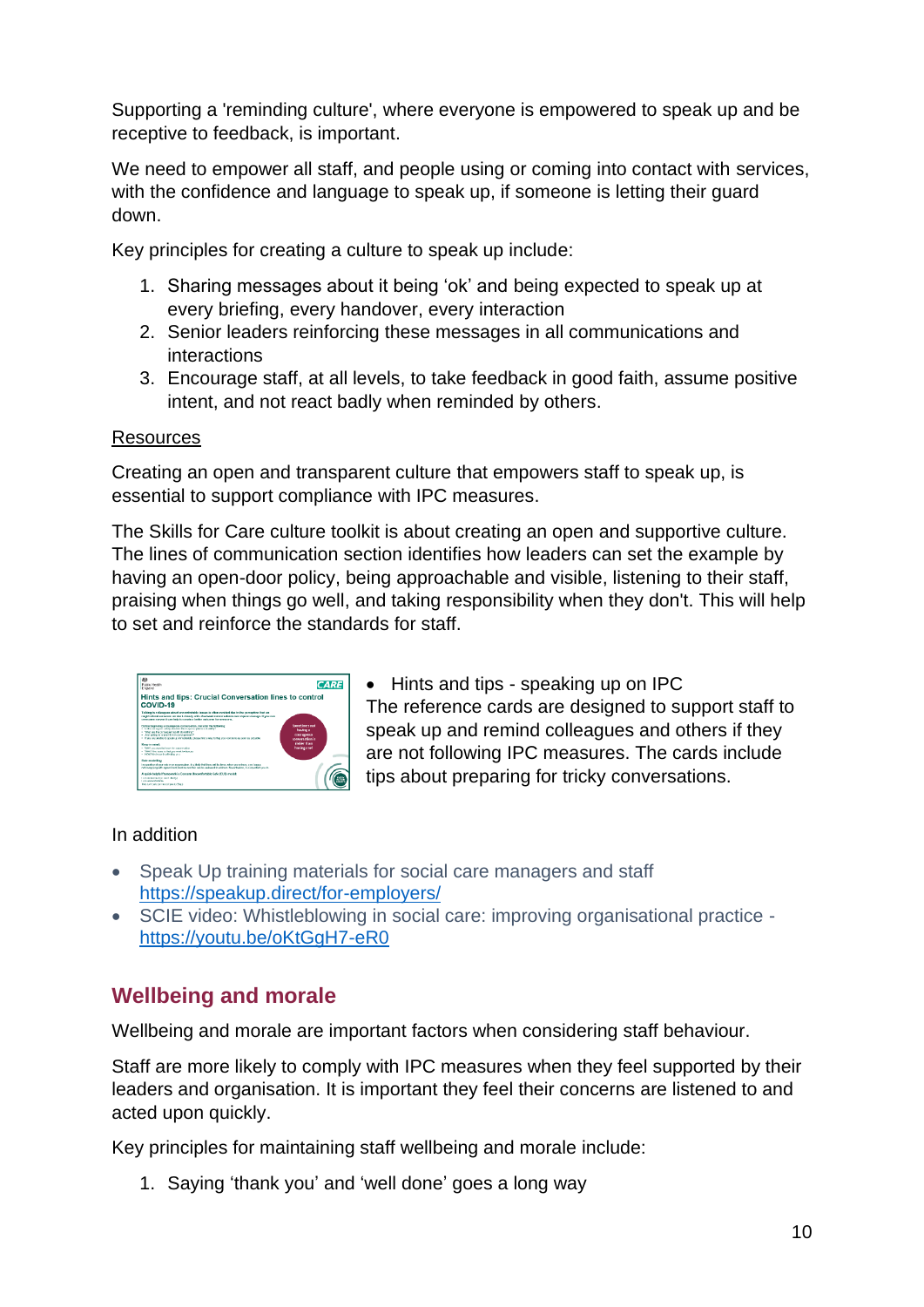Supporting a 'reminding culture', where everyone is empowered to speak up and be receptive to feedback, is important.

We need to empower all staff, and people using or coming into contact with services, with the confidence and language to speak up, if someone is letting their guard down.

Key principles for creating a culture to speak up include:

- 1. Sharing messages about it being 'ok' and being expected to speak up at every briefing, every handover, every interaction
- 2. Senior leaders reinforcing these messages in all communications and interactions
- 3. Encourage staff, at all levels, to take feedback in good faith, assume positive intent, and not react badly when reminded by others.

#### **Resources**

Creating an open and transparent culture that empowers staff to speak up, is essential to support compliance with IPC measures.

The Skills for Care culture toolkit is about creating an open and supportive culture. The lines of communication section identifies how leaders can set the example by having an open-door policy, being approachable and visible, listening to their staff, praising when things go well, and taking responsibility when they don't. This will help to set and reinforce the standards for staff.



• Hints and tips - speaking up on IPC The reference cards are designed to support staff to speak up and remind colleagues and others if they are not following IPC measures. The cards include tips about preparing for tricky conversations.

#### In addition

- Speak Up training materials for social care managers and staff [https://speakup.direct/for-employers/](https://eur01.safelinks.protection.outlook.com/?url=https%3A%2F%2Fspeakup.direct%2Ffor-employers%2F&data=04%7C01%7CJo.Steele%40skillsforcare.org.uk%7Cd6699ee3a3d34224d2eb08d8eeca676f%7C5c317017415d43e6ada17668f9ad3f9f%7C0%7C0%7C637521900373645623%7CUnknown%7CTWFpbGZsb3d8eyJWIjoiMC4wLjAwMDAiLCJQIjoiV2luMzIiLCJBTiI6Ik1haWwiLCJXVCI6Mn0%3D%7C1000&sdata=3jG7nsHZ06tIOqPyb1RsI6oRvW3NkSb485NxoE20usc%3D&reserved=0)
- SCIE video: Whistleblowing in social care: improving organisational practice [https://youtu.be/oKtGgH7-eR0](https://eur01.safelinks.protection.outlook.com/?url=https%3A%2F%2Fyoutu.be%2FoKtGgH7-eR0&data=04%7C01%7CJo.Steele%40skillsforcare.org.uk%7Cd6699ee3a3d34224d2eb08d8eeca676f%7C5c317017415d43e6ada17668f9ad3f9f%7C0%7C0%7C637521900373655580%7CUnknown%7CTWFpbGZsb3d8eyJWIjoiMC4wLjAwMDAiLCJQIjoiV2luMzIiLCJBTiI6Ik1haWwiLCJXVCI6Mn0%3D%7C1000&sdata=Shy%2FItkWd3FX1TDZN8GUYiaNqwdA%2FOEO0z2COi%2FKd8Q%3D&reserved=0)

# **Wellbeing and morale**

Wellbeing and morale are important factors when considering staff behaviour.

Staff are more likely to comply with IPC measures when they feel supported by their leaders and organisation. It is important they feel their concerns are listened to and acted upon quickly.

Key principles for maintaining staff wellbeing and morale include:

1. Saying 'thank you' and 'well done' goes a long way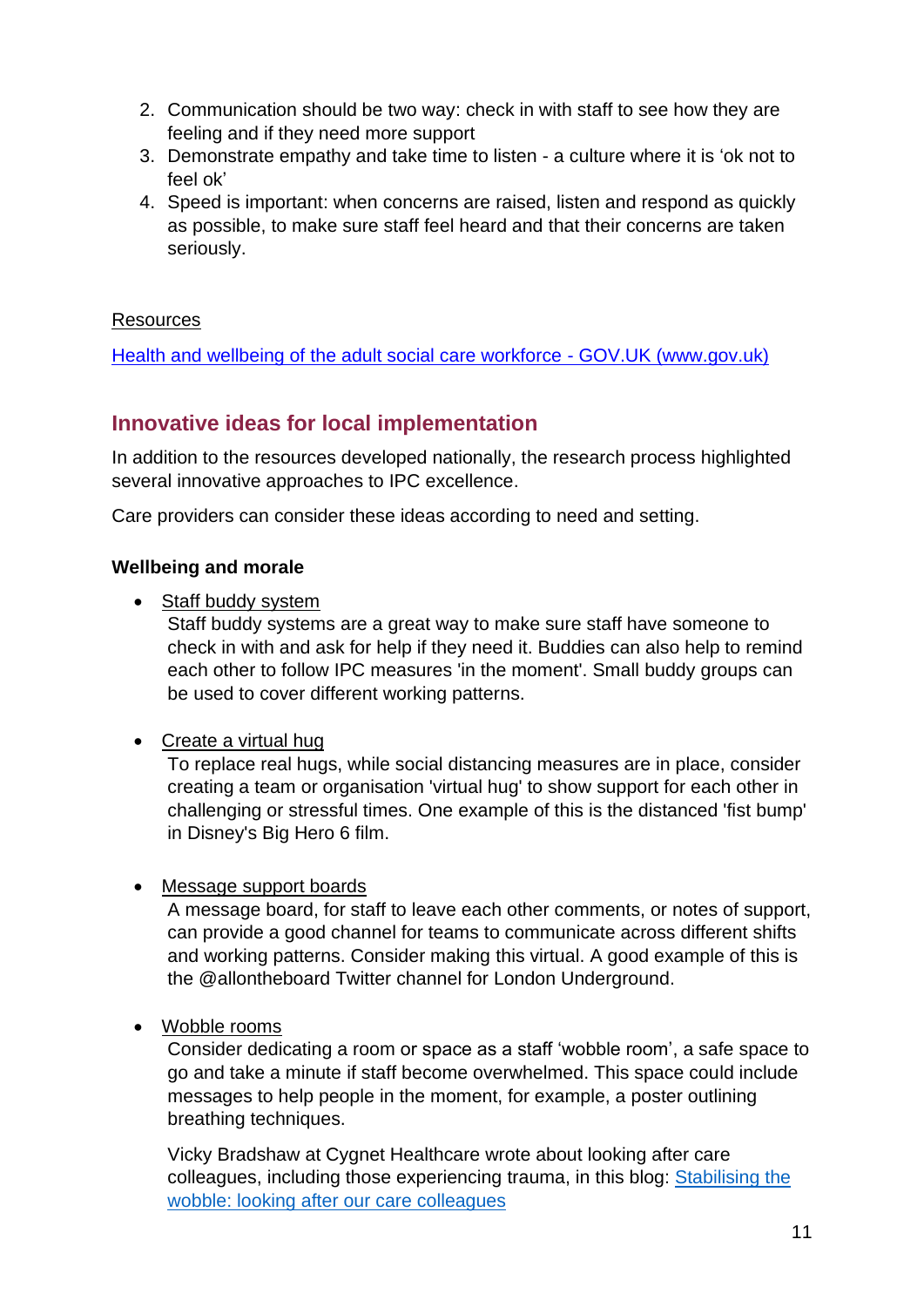- 2. Communication should be two way: check in with staff to see how they are feeling and if they need more support
- 3. Demonstrate empathy and take time to listen a culture where it is 'ok not to feel ok'
- 4. Speed is important: when concerns are raised, listen and respond as quickly as possible, to make sure staff feel heard and that their concerns are taken seriously.

#### **Resources**

[Health and wellbeing of the adult social care workforce -](https://www.gov.uk/government/publications/coronavirus-covid-19-health-and-wellbeing-of-the-adult-social-care-workforce/health-and-wellbeing-of-the-adult-social-care-workforce) GOV.UK (www.gov.uk)

# <span id="page-10-0"></span>**Innovative ideas for local implementation**

In addition to the resources developed nationally, the research process highlighted several innovative approaches to IPC excellence.

Care providers can consider these ideas according to need and setting.

#### <span id="page-10-1"></span>**Wellbeing and morale**

• Staff buddy system

Staff buddy systems are a great way to make sure staff have someone to check in with and ask for help if they need it. Buddies can also help to remind each other to follow IPC measures 'in the moment'. Small buddy groups can be used to cover different working patterns.

• Create a virtual hug

To replace real hugs, while social distancing measures are in place, consider creating a team or organisation 'virtual hug' to show support for each other in challenging or stressful times. One example of this is the distanced 'fist bump' in Disney's Big Hero 6 film.

• Message support boards

A message board, for staff to leave each other comments, or notes of support, can provide a good channel for teams to communicate across different shifts and working patterns. Consider making this virtual. A good example of this is the @allontheboard Twitter channel for London Underground.

• Wobble rooms

Consider dedicating a room or space as a staff 'wobble room', a safe space to go and take a minute if staff become overwhelmed. This space could include messages to help people in the moment, for example, a poster outlining breathing techniques.

Vicky Bradshaw at Cygnet Healthcare wrote about looking after care colleagues, including those experiencing trauma, in this blog: [Stabilising the](https://socialcare.blog.gov.uk/2021/03/02/stabilising-the-wobble-looking-after-our-care-colleagues/)  [wobble: looking after our care colleagues](https://socialcare.blog.gov.uk/2021/03/02/stabilising-the-wobble-looking-after-our-care-colleagues/)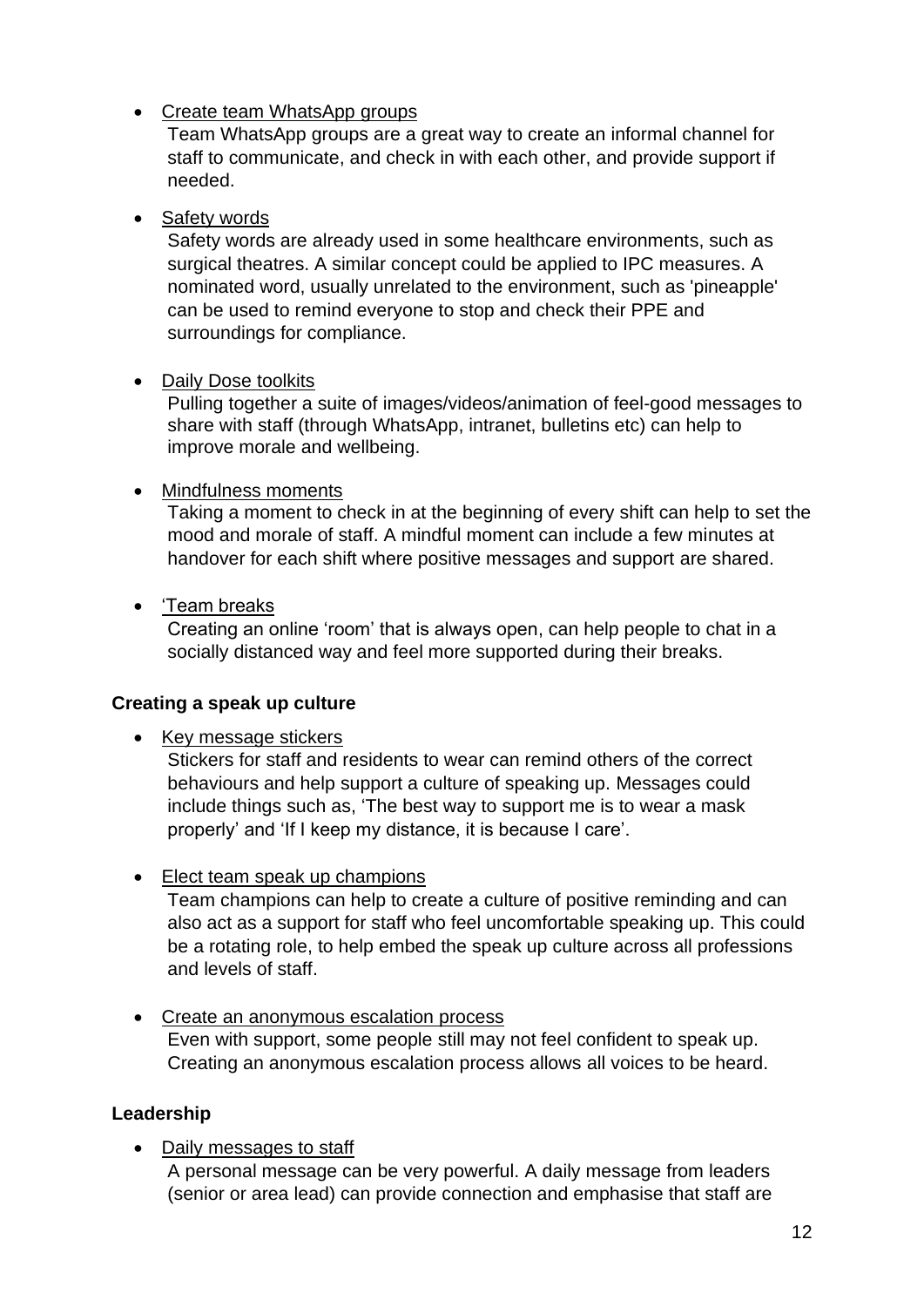# • Create team WhatsApp groups

Team WhatsApp groups are a great way to create an informal channel for staff to communicate, and check in with each other, and provide support if needed.

#### • Safety words

Safety words are already used in some healthcare environments, such as surgical theatres. A similar concept could be applied to IPC measures. A nominated word, usually unrelated to the environment, such as 'pineapple' can be used to remind everyone to stop and check their PPE and surroundings for compliance.

#### • Daily Dose toolkits

Pulling together a suite of images/videos/animation of feel-good messages to share with staff (through WhatsApp, intranet, bulletins etc) can help to improve morale and wellbeing.

### • Mindfulness moments

Taking a moment to check in at the beginning of every shift can help to set the mood and morale of staff. A mindful moment can include a few minutes at handover for each shift where positive messages and support are shared.

### • 'Team breaks

Creating an online 'room' that is always open, can help people to chat in a socially distanced way and feel more supported during their breaks.

#### <span id="page-11-0"></span>**Creating a speak up culture**

• Key message stickers

Stickers for staff and residents to wear can remind others of the correct behaviours and help support a culture of speaking up. Messages could include things such as, 'The best way to support me is to wear a mask properly' and 'If I keep my distance, it is because I care'.

• Elect team speak up champions

Team champions can help to create a culture of positive reminding and can also act as a support for staff who feel uncomfortable speaking up. This could be a rotating role, to help embed the speak up culture across all professions and levels of staff.

• Create an anonymous escalation process Even with support, some people still may not feel confident to speak up. Creating an anonymous escalation process allows all voices to be heard.

# <span id="page-11-1"></span>**Leadership**

• Daily messages to staff

A personal message can be very powerful. A daily message from leaders (senior or area lead) can provide connection and emphasise that staff are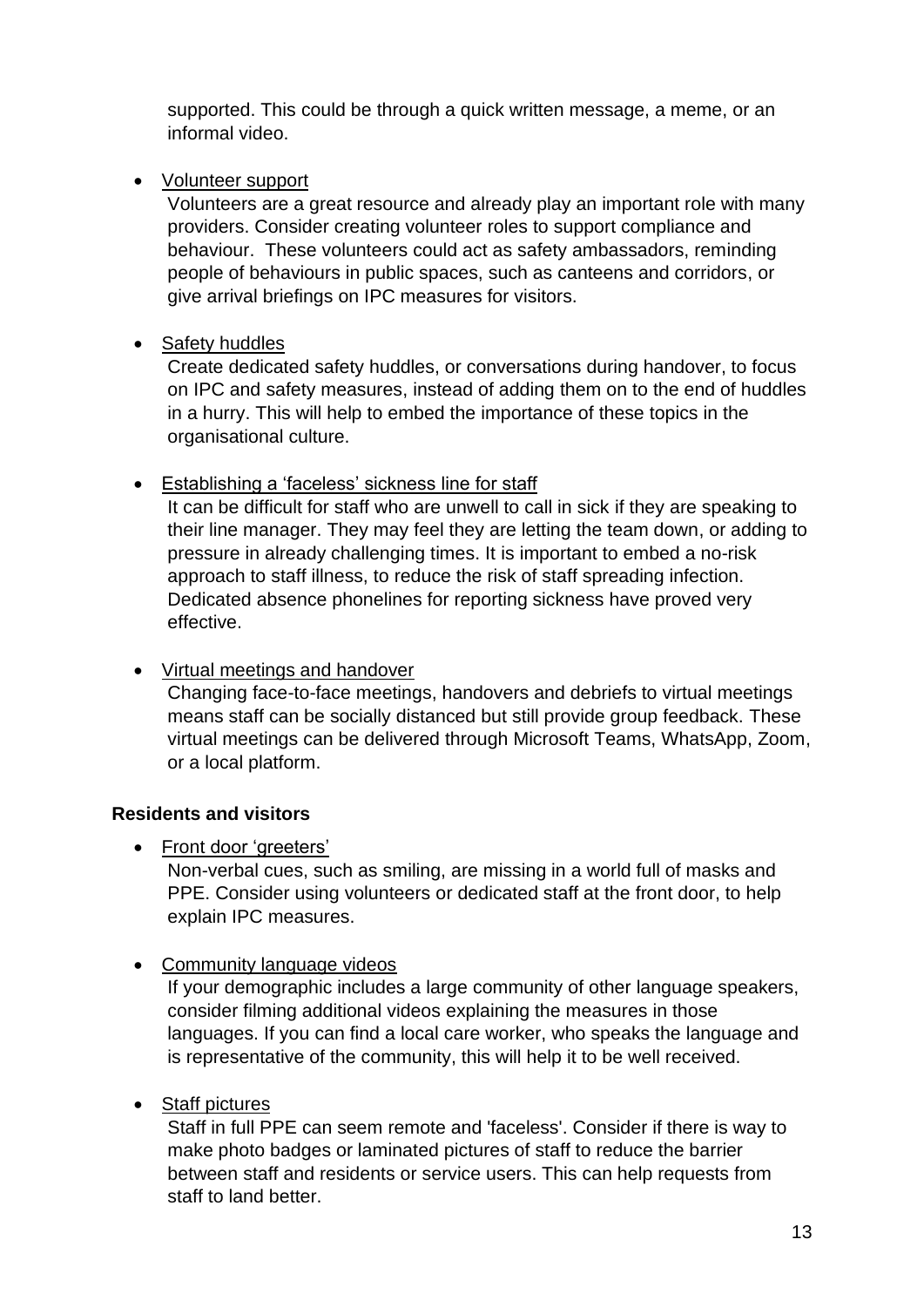supported. This could be through a quick written message, a meme, or an informal video.

• Volunteer support

Volunteers are a great resource and already play an important role with many providers. Consider creating volunteer roles to support compliance and behaviour. These volunteers could act as safety ambassadors, reminding people of behaviours in public spaces, such as canteens and corridors, or give arrival briefings on IPC measures for visitors.

• Safety huddles

Create dedicated safety huddles, or conversations during handover, to focus on IPC and safety measures, instead of adding them on to the end of huddles in a hurry. This will help to embed the importance of these topics in the organisational culture.

• Establishing a 'faceless' sickness line for staff

It can be difficult for staff who are unwell to call in sick if they are speaking to their line manager. They may feel they are letting the team down, or adding to pressure in already challenging times. It is important to embed a no-risk approach to staff illness, to reduce the risk of staff spreading infection. Dedicated absence phonelines for reporting sickness have proved very effective.

#### • Virtual meetings and handover

Changing face-to-face meetings, handovers and debriefs to virtual meetings means staff can be socially distanced but still provide group feedback. These virtual meetings can be delivered through Microsoft Teams, WhatsApp, Zoom, or a local platform.

#### <span id="page-12-0"></span>**Residents and visitors**

• Front door 'greeters'

Non-verbal cues, such as smiling, are missing in a world full of masks and PPE. Consider using volunteers or dedicated staff at the front door, to help explain IPC measures.

• Community language videos

If your demographic includes a large community of other language speakers, consider filming additional videos explaining the measures in those languages. If you can find a local care worker, who speaks the language and is representative of the community, this will help it to be well received.

• Staff pictures

Staff in full PPE can seem remote and 'faceless'. Consider if there is way to make photo badges or laminated pictures of staff to reduce the barrier between staff and residents or service users. This can help requests from staff to land better.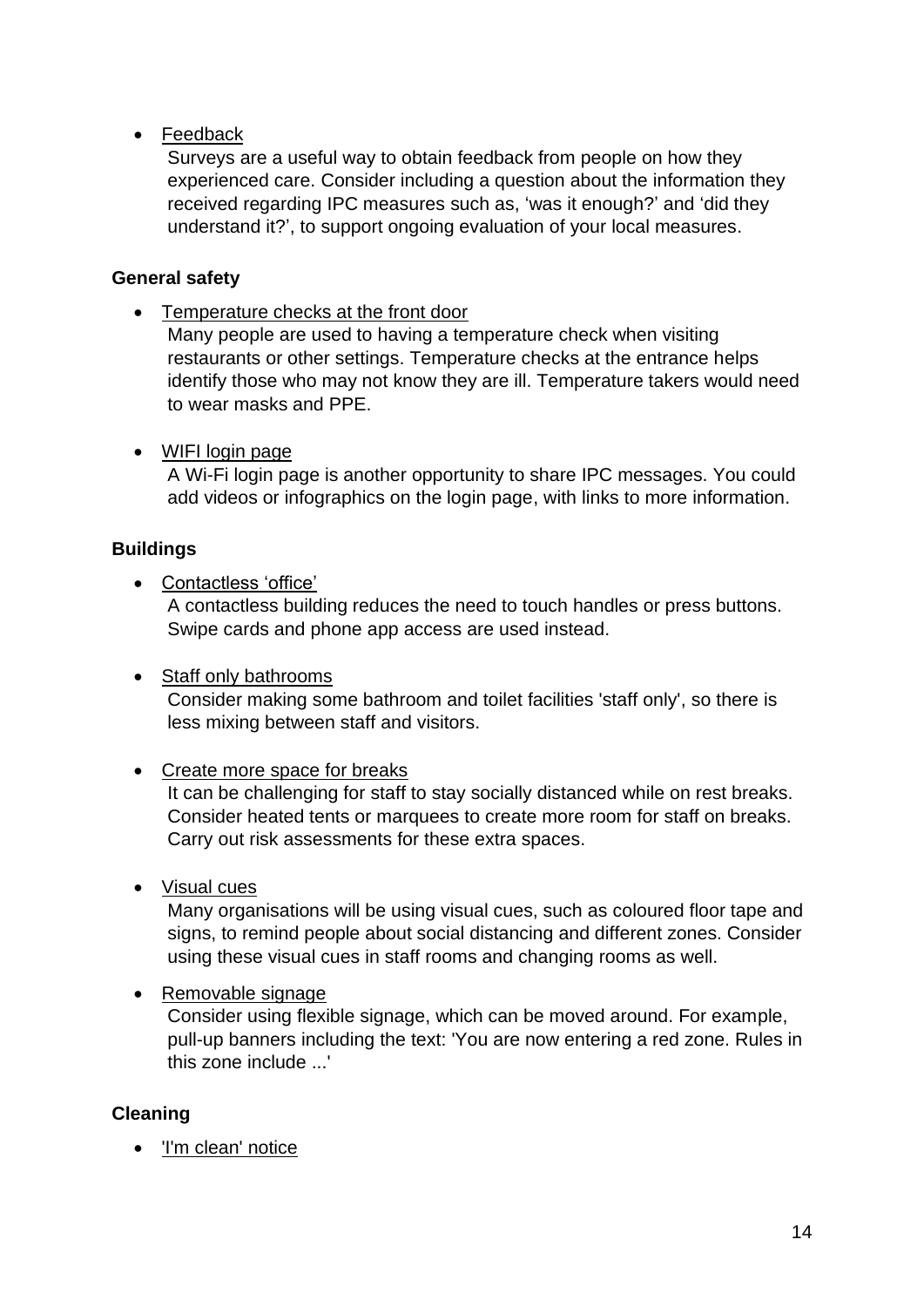# • Feedback

Surveys are a useful way to obtain feedback from people on how they experienced care. Consider including a question about the information they received regarding IPC measures such as, 'was it enough?' and 'did they understand it?', to support ongoing evaluation of your local measures.

#### <span id="page-13-0"></span>**General safety**

• Temperature checks at the front door

Many people are used to having a temperature check when visiting restaurants or other settings. Temperature checks at the entrance helps identify those who may not know they are ill. Temperature takers would need to wear masks and PPE.

#### • WIFI login page

A Wi-Fi login page is another opportunity to share IPC messages. You could add videos or infographics on the login page, with links to more information.

#### <span id="page-13-1"></span>**Buildings**

• Contactless 'office'

A contactless building reduces the need to touch handles or press buttons. Swipe cards and phone app access are used instead.

#### • Staff only bathrooms

Consider making some bathroom and toilet facilities 'staff only', so there is less mixing between staff and visitors.

#### • Create more space for breaks

It can be challenging for staff to stay socially distanced while on rest breaks. Consider heated tents or marquees to create more room for staff on breaks. Carry out risk assessments for these extra spaces.

#### • Visual cues

Many organisations will be using visual cues, such as coloured floor tape and signs, to remind people about social distancing and different zones. Consider using these visual cues in staff rooms and changing rooms as well.

#### • Removable signage

Consider using flexible signage, which can be moved around. For example, pull-up banners including the text: 'You are now entering a red zone. Rules in this zone include ...'

#### <span id="page-13-2"></span>**Cleaning**

• 'I'm clean' notice